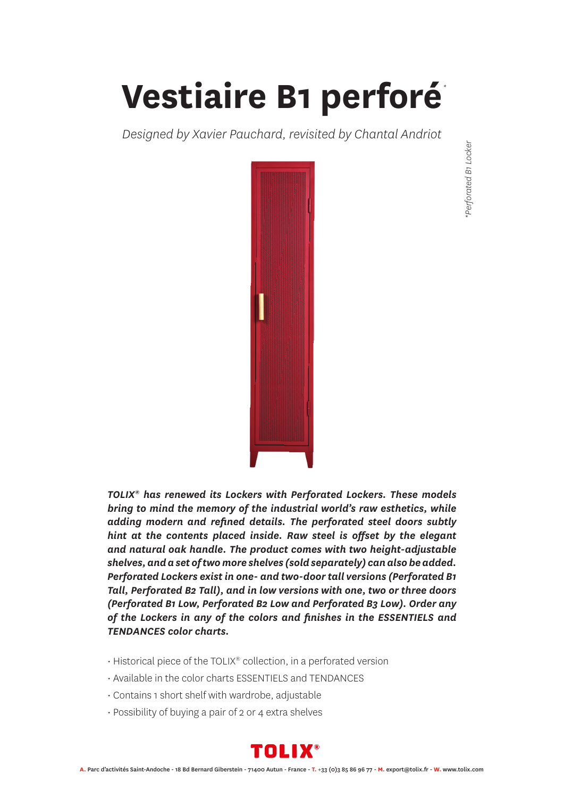## **Vestiaire B1 perforé** *\**

*Designed by Xavier Pauchard, revisited by Chantal Andriot*



*TOLIX® has renewed its Lockers with Perforated Lockers. These models bring to mind the memory of the industrial world's raw esthetics, while adding modern and refined details. The perforated steel doors subtly hint at the contents placed inside. Raw steel is offset by the elegant and natural oak handle. The product comes with two height-adjustable shelves, and a set of two more shelves (sold separately) can also be added. Perforated Lockers exist in one- and two-door tall versions (Perforated B1 Tall, Perforated B2 Tall), and in low versions with one, two or three doors (Perforated B1 Low, Perforated B2 Low and Perforated B3 Low). Order any of the Lockers in any of the colors and finishes in the ESSENTIELS and TENDANCES color charts.*

- Historical piece of the TOLIX® collection, in a perforated version
- Available in the color charts ESSENTIELS and TENDANCES
- Contains 1 short shelf with wardrobe, adjustable
- Possibility of buying a pair of 2 or 4 extra shelves